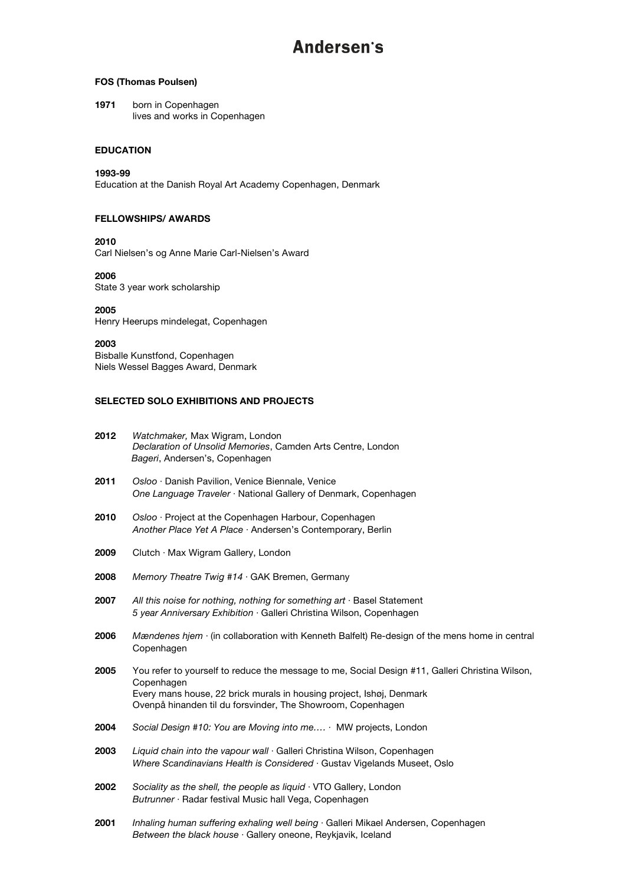## **FOS (Thomas Poulsen)**

**1971** born in Copenhagen lives and works in Copenhagen

### **EDUCATION**

### **1993-99**

Education at the Danish Royal Art Academy Copenhagen, Denmark

## **FELLOWSHIPS/ AWARDS**

**2010**

Carl Nielsen's og Anne Marie Carl-Nielsen's Award

## **2006**

State 3 year work scholarship

## **2005**

Henry Heerups mindelegat, Copenhagen

#### **2003**

Bisballe Kunstfond, Copenhagen Niels Wessel Bagges Award, Denmark

## **SELECTED SOLO EXHIBITIONS AND PROJECTS**

| 2012 | Watchmaker, Max Wigram, London<br>Declaration of Unsolid Memories, Camden Arts Centre, London<br>Bageri, Andersen's, Copenhagen                                                                                                                      |
|------|------------------------------------------------------------------------------------------------------------------------------------------------------------------------------------------------------------------------------------------------------|
| 2011 | Osloo · Danish Pavilion, Venice Biennale, Venice<br>One Language Traveler · National Gallery of Denmark, Copenhagen                                                                                                                                  |
| 2010 | Osloo · Project at the Copenhagen Harbour, Copenhagen<br>Another Place Yet A Place · Andersen's Contemporary, Berlin                                                                                                                                 |
| 2009 | Clutch · Max Wigram Gallery, London                                                                                                                                                                                                                  |
| 2008 | Memory Theatre Twig $#14 \cdot GAK$ Bremen, Germany                                                                                                                                                                                                  |
| 2007 | All this noise for nothing, nothing for something $art \cdot$ Basel Statement<br>5 year Anniversary Exhibition · Galleri Christina Wilson, Copenhagen                                                                                                |
| 2006 | Mændenes hjem $\cdot$ (in collaboration with Kenneth Balfelt) Re-design of the mens home in central<br>Copenhagen                                                                                                                                    |
| 2005 | You refer to yourself to reduce the message to me, Social Design #11, Galleri Christina Wilson,<br>Copenhagen<br>Every mans house, 22 brick murals in housing project, Ishøj, Denmark<br>Ovenpå hinanden til du forsvinder, The Showroom, Copenhagen |
| 2004 | Social Design #10: You are Moving into me $\cdot$ MW projects, London                                                                                                                                                                                |
| 2003 | Liquid chain into the vapour wall Galleri Christina Wilson, Copenhagen<br>Where Scandinavians Health is Considered · Gustav Vigelands Museet, Oslo                                                                                                   |
| 2002 | Sociality as the shell, the people as liquid $\cdot$ VTO Gallery, London<br>Butrunner · Radar festival Music hall Vega, Copenhagen                                                                                                                   |

**2001** *Inhaling human suffering exhaling well being* ⋅ Galleri Mikael Andersen, Copenhagen *Between the black house* ⋅ Gallery oneone, Reykjavik, Iceland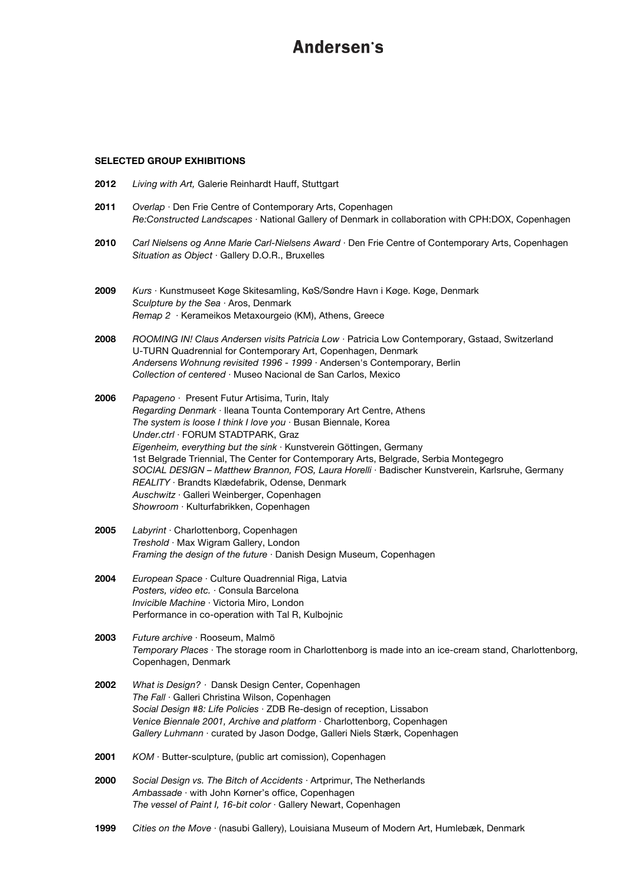#### **SELECTED GROUP EXHIBITIONS**

- **2012** *Living with Art,* Galerie Reinhardt Hauff, Stuttgart
- **2011** *Overlap* ⋅ Den Frie Centre of Contemporary Arts, Copenhagen *Re:Constructed Landscapes* ⋅ National Gallery of Denmark in collaboration with CPH:DOX, Copenhagen
- **2010** *Carl Nielsens og Anne Marie Carl-Nielsens Award* ⋅ Den Frie Centre of Contemporary Arts, Copenhagen *Situation as Object* ⋅ Gallery D.O.R., Bruxelles
- **2009** *Kurs* ⋅ Kunstmuseet Køge Skitesamling, KøS/Søndre Havn i Køge. Køge, Denmark *Sculpture by the Sea* ⋅ Aros, Denmark *Remap 2* ⋅ Kerameikos Metaxourgeio (KM), Athens, Greece
- **2008** *ROOMING IN! Claus Andersen visits Patricia Low* ⋅ Patricia Low Contemporary, Gstaad, Switzerland U-TURN Quadrennial for Contemporary Art, Copenhagen, Denmark *Andersens Wohnung revisited 1996 - 1999* ⋅ Andersen's Contemporary, Berlin *Collection of centered* ⋅ Museo Nacional de San Carlos, Mexico
- **2006** *Papageno* ⋅ Present Futur Artisima, Turin, Italy *Regarding Denmark* ⋅ Ileana Tounta Contemporary Art Centre, Athens *The system is loose I think I love you* ⋅ Busan Biennale, Korea *Under.ctrl* ⋅ FORUM STADTPARK, Graz *Eigenheim, everything but the sink* ⋅ Kunstverein Göttingen, Germany 1st Belgrade Triennial, The Center for Contemporary Arts, Belgrade, Serbia Montegegro *SOCIAL DESIGN – Matthew Brannon, FOS, Laura Horelli* ⋅ Badischer Kunstverein, Karlsruhe, Germany *REALITY* ⋅ Brandts Klædefabrik, Odense, Denmark *Auschwitz* ⋅ Galleri Weinberger, Copenhagen *Showroom* ⋅ Kulturfabrikken, Copenhagen
- **2005** *Labyrint* ⋅ Charlottenborg, Copenhagen *Treshold* ⋅ Max Wigram Gallery, London *Framing the design of the future* ⋅ Danish Design Museum, Copenhagen
- **2004** *European Space* ⋅ Culture Quadrennial Riga, Latvia *Posters, video etc.* ⋅ Consula Barcelona *Invicible Machine* ⋅ Victoria Miro, London Performance in co-operation with Tal R, Kulbojnic

**2003** *Future archive* ⋅ Rooseum, Malmö *Temporary Places* ⋅ The storage room in Charlottenborg is made into an ice-cream stand, Charlottenborg, Copenhagen, Denmark

- **2002** *What is Design?* ⋅ Dansk Design Center, Copenhagen *The Fall* ⋅ Galleri Christina Wilson, Copenhagen *Social Design #8: Life Policies* ⋅ ZDB Re-design of reception, Lissabon *Venice Biennale 2001, Archive and platform* ⋅ Charlottenborg, Copenhagen *Gallery Luhmann* ⋅ curated by Jason Dodge, Galleri Niels Stærk, Copenhagen
- **2001** *KOM* ⋅ Butter-sculpture, (public art comission), Copenhagen
- **2000** *Social Design vs. The Bitch of Accidents* ⋅ Artprimur, The Netherlands *Ambassade* ⋅ with John Kørner's office, Copenhagen *The vessel of Paint I, 16-bit color* ⋅ Gallery Newart, Copenhagen
- **1999** *Cities on the Move* ⋅ (nasubi Gallery), Louisiana Museum of Modern Art, Humlebæk, Denmark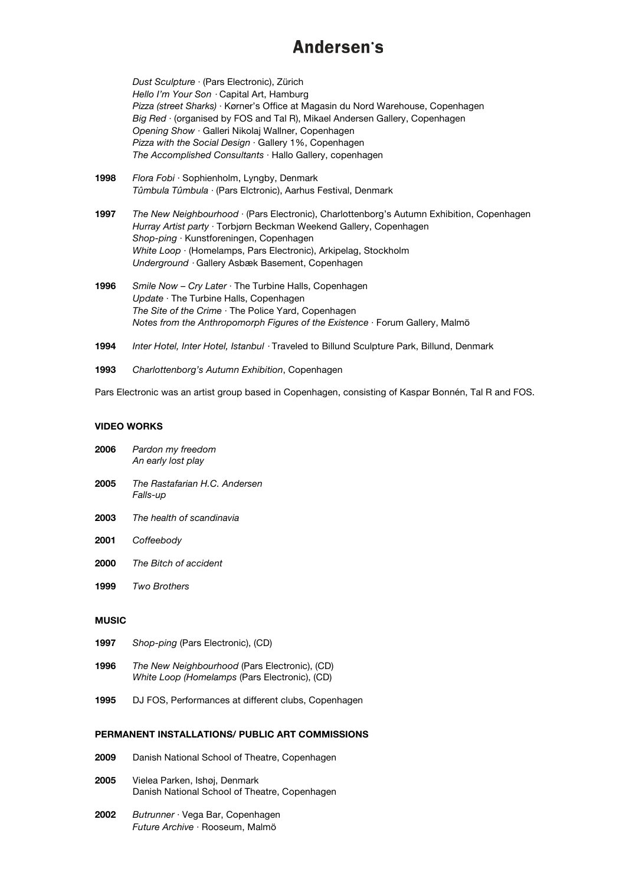*Dust Sculpture* ⋅ (Pars Electronic), Zürich *Hello I'm Your Son* ⋅ Capital Art, Hamburg *Pizza (street Sharks)* ⋅ Kørner's Office at Magasin du Nord Warehouse, Copenhagen *Big Red* ⋅ (organised by FOS and Tal R), Mikael Andersen Gallery, Copenhagen *Opening Show* ⋅ Galleri Nikolaj Wallner, Copenhagen *Pizza with the Social Design* ⋅ Gallery 1%, Copenhagen *The Accomplished Consultants* ⋅ Hallo Gallery, copenhagen

- **1998** *Flora Fobi* ⋅ Sophienholm, Lyngby, Denmark *Tûmbula Tûmbula* ⋅ (Pars Elctronic), Aarhus Festival, Denmark
- **1997** *The New Neighbourhood* ⋅ (Pars Electronic), Charlottenborg's Autumn Exhibition, Copenhagen *Hurray Artist party* ⋅ Torbjørn Beckman Weekend Gallery, Copenhagen *Shop-ping* ⋅ Kunstforeningen, Copenhagen *White Loop* ⋅ (Homelamps, Pars Electronic), Arkipelag, Stockholm *Underground* ⋅ Gallery Asbæk Basement, Copenhagen
- **1996** *Smile Now Cry Later* ⋅ The Turbine Halls, Copenhagen *Update* ⋅ The Turbine Halls, Copenhagen *The Site of the Crime* ⋅ The Police Yard, Copenhagen *Notes from the Anthropomorph Figures of the Existence* ⋅ Forum Gallery, Malmö
- **1994** *Inter Hotel, Inter Hotel, Istanbul* ⋅ Traveled to Billund Sculpture Park, Billund, Denmark
- **1993** *Charlottenborg's Autumn Exhibition*, Copenhagen

Pars Electronic was an artist group based in Copenhagen, consisting of Kaspar Bonnén, Tal R and FOS.

#### **VIDEO WORKS**

| 2006 | Pardon my freedom<br>An early lost play          |
|------|--------------------------------------------------|
| 2005 | The Rastafarian H.C. Andersen<br><i>Falls-up</i> |

- **2003** *The health of scandinavia*
- **2001** *Coffeebody*
- **2000** *The Bitch of accident*
- **1999** *Two Brothers*

### **MUSIC**

- **1997** *Shop-ping* (Pars Electronic), (CD)
- **1996** *The New Neighbourhood* (Pars Electronic), (CD) *White Loop (Homelamps* (Pars Electronic), (CD)
- **1995** DJ FOS, Performances at different clubs, Copenhagen

#### **PERMANENT INSTALLATIONS/ PUBLIC ART COMMISSIONS**

- **2009** Danish National School of Theatre, Copenhagen
- **2005** Vielea Parken, Ishøj, Denmark Danish National School of Theatre, Copenhagen
- **2002** *Butrunner* ⋅ Vega Bar, Copenhagen *Future Archive* ⋅ Rooseum, Malmö